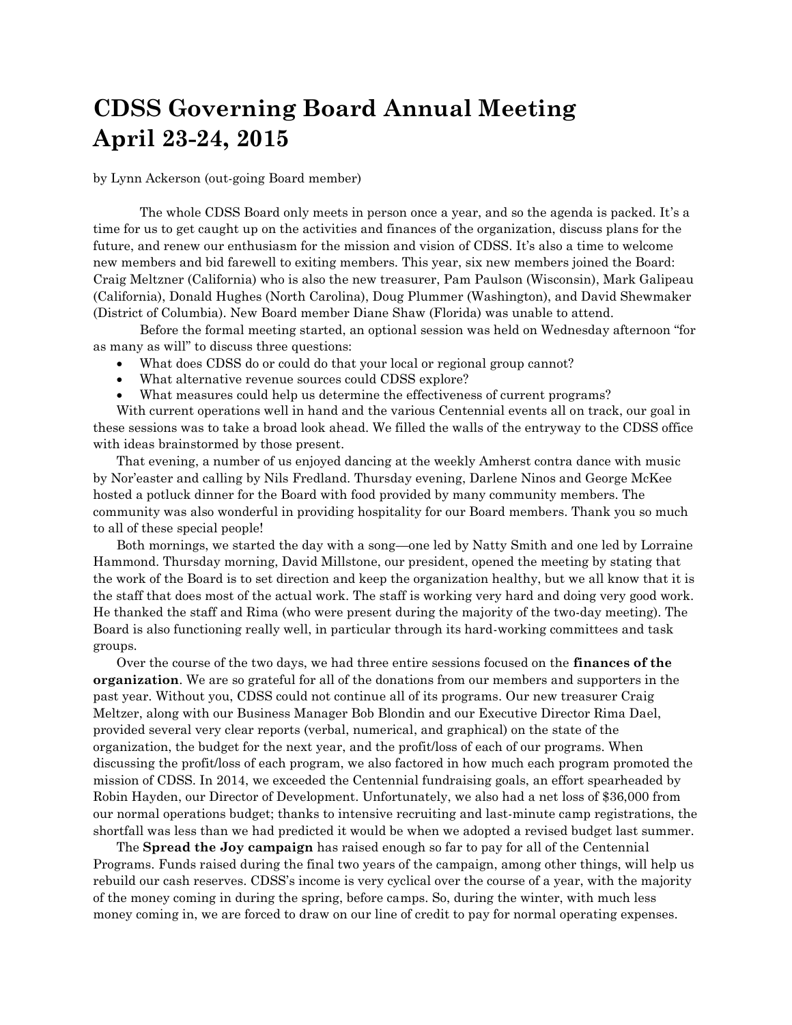## **CDSS Governing Board Annual Meeting April 23-24, 2015**

by Lynn Ackerson (out-going Board member)

The whole CDSS Board only meets in person once a year, and so the agenda is packed. It's a time for us to get caught up on the activities and finances of the organization, discuss plans for the future, and renew our enthusiasm for the mission and vision of CDSS. It's also a time to welcome new members and bid farewell to exiting members. This year, six new members joined the Board: Craig Meltzner (California) who is also the new treasurer, Pam Paulson (Wisconsin), Mark Galipeau (California), Donald Hughes (North Carolina), Doug Plummer (Washington), and David Shewmaker (District of Columbia). New Board member Diane Shaw (Florida) was unable to attend.

Before the formal meeting started, an optional session was held on Wednesday afternoon "for as many as will" to discuss three questions:

- What does CDSS do or could do that your local or regional group cannot?
- What alternative revenue sources could CDSS explore?
- What measures could help us determine the effectiveness of current programs?

With current operations well in hand and the various Centennial events all on track, our goal in these sessions was to take a broad look ahead. We filled the walls of the entryway to the CDSS office with ideas brainstormed by those present.

That evening, a number of us enjoyed dancing at the weekly Amherst contra dance with music by Nor'easter and calling by Nils Fredland. Thursday evening, Darlene Ninos and George McKee hosted a potluck dinner for the Board with food provided by many community members. The community was also wonderful in providing hospitality for our Board members. Thank you so much to all of these special people!

Both mornings, we started the day with a song—one led by Natty Smith and one led by Lorraine Hammond. Thursday morning, David Millstone, our president, opened the meeting by stating that the work of the Board is to set direction and keep the organization healthy, but we all know that it is the staff that does most of the actual work. The staff is working very hard and doing very good work. He thanked the staff and Rima (who were present during the majority of the two-day meeting). The Board is also functioning really well, in particular through its hard-working committees and task groups.

Over the course of the two days, we had three entire sessions focused on the **finances of the organization**. We are so grateful for all of the donations from our members and supporters in the past year. Without you, CDSS could not continue all of its programs. Our new treasurer Craig Meltzer, along with our Business Manager Bob Blondin and our Executive Director Rima Dael, provided several very clear reports (verbal, numerical, and graphical) on the state of the organization, the budget for the next year, and the profit/loss of each of our programs. When discussing the profit/loss of each program, we also factored in how much each program promoted the mission of CDSS. In 2014, we exceeded the Centennial fundraising goals, an effort spearheaded by Robin Hayden, our Director of Development. Unfortunately, we also had a net loss of \$36,000 from our normal operations budget; thanks to intensive recruiting and last-minute camp registrations, the shortfall was less than we had predicted it would be when we adopted a revised budget last summer.

The **Spread the Joy campaign** has raised enough so far to pay for all of the Centennial Programs. Funds raised during the final two years of the campaign, among other things, will help us rebuild our cash reserves. CDSS's income is very cyclical over the course of a year, with the majority of the money coming in during the spring, before camps. So, during the winter, with much less money coming in, we are forced to draw on our line of credit to pay for normal operating expenses.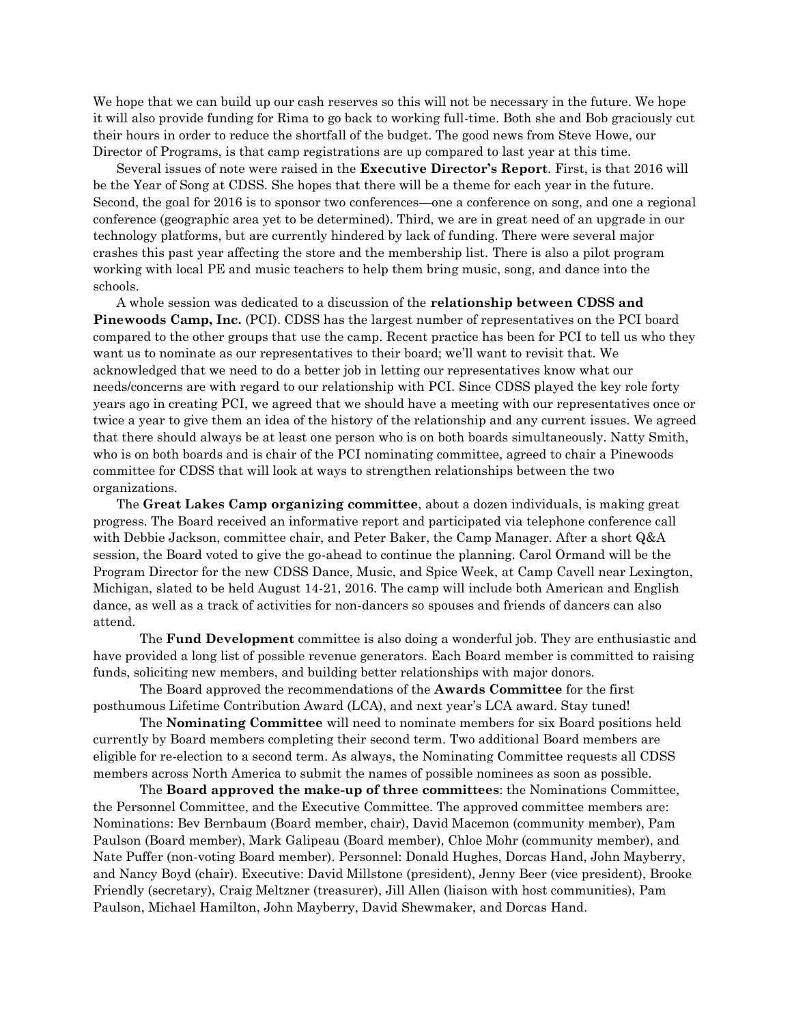We hope that we can build up our cash reserves so this will not be necessary in the future. We hope it will also provide funding for Rima to go back to working full-time. Both she and Bob graciously cut their hours in order to reduce the shortfall of the budget. The good news from Steve Howe, our Director of Programs, is that camp registrations are up compared to last year at this time.

Several issues of note were raised in the **Executive Director's Report**. First, is that 2016 will be the Year of Song at CDSS. She hopes that there will be a theme for each year in the future. Second, the goal for 2016 is to sponsor two conferences—one a conference on song, and one a regional conference (geographic area yet to be determined). Third, we are in great need of an upgrade in our technology platforms, but are currently hindered by lack of funding. There were several major crashes this past year affecting the store and the membership list. There is also a pilot program working with local PE and music teachers to help them bring music, song, and dance into the schools.

A whole session was dedicated to a discussion of the **relationship between CDSS and Pinewoods Camp, Inc.** (PCI). CDSS has the largest number of representatives on the PCI board compared to the other groups that use the camp. Recent practice has been for PCI to tell us who they want us to nominate as our representatives to their board; we'll want to revisit that. We acknowledged that we need to do a better job in letting our representatives know what our needs/concerns are with regard to our relationship with PCI. Since CDSS played the key role forty years ago in creating PCI, we agreed that we should have a meeting with our representatives once or twice a year to give them an idea of the history of the relationship and any current issues. We agreed that there should always be at least one person who is on both boards simultaneously. Natty Smith, who is on both boards and is chair of the PCI nominating committee, agreed to chair a Pinewoods committee for CDSS that will look at ways to strengthen relationships between the two organizations.

The **Great Lakes Camp organizing committee**, about a dozen individuals, is making great progress. The Board received an informative report and participated via telephone conference call with Debbie Jackson, committee chair, and Peter Baker, the Camp Manager. After a short Q&A session, the Board voted to give the go-ahead to continue the planning. Carol Ormand will be the Program Director for the new CDSS Dance, Music, and Spice Week, at Camp Cavell near Lexington, Michigan, slated to be held August 14-21, 2016. The camp will include both American and English dance, as well as a track of activities for non-dancers so spouses and friends of dancers can also attend.

The **Fund Development** committee is also doing a wonderful job. They are enthusiastic and have provided a long list of possible revenue generators. Each Board member is committed to raising funds, soliciting new members, and building better relationships with major donors.

The Board approved the recommendations of the **Awards Committee** for the first posthumous Lifetime Contribution Award (LCA), and next year's LCA award. Stay tuned!

The **Nominating Committee** will need to nominate members for six Board positions held currently by Board members completing their second term. Two additional Board members are eligible for re-election to a second term. As always, the Nominating Committee requests all CDSS members across North America to submit the names of possible nominees as soon as possible.

The **Board approved the make-up of three committees**: the Nominations Committee, the Personnel Committee, and the Executive Committee. The approved committee members are: Nominations: Bev Bernbaum (Board member, chair), David Macemon (community member), Pam Paulson (Board member), Mark Galipeau (Board member), Chloe Mohr (community member), and Nate Puffer (non-voting Board member). Personnel: Donald Hughes, Dorcas Hand, John Mayberry, and Nancy Boyd (chair). Executive: David Millstone (president), Jenny Beer (vice president), Brooke Friendly (secretary), Craig Meltzner (treasurer), Jill Allen (liaison with host communities), Pam Paulson, Michael Hamilton, John Mayberry, David Shewmaker, and Dorcas Hand.